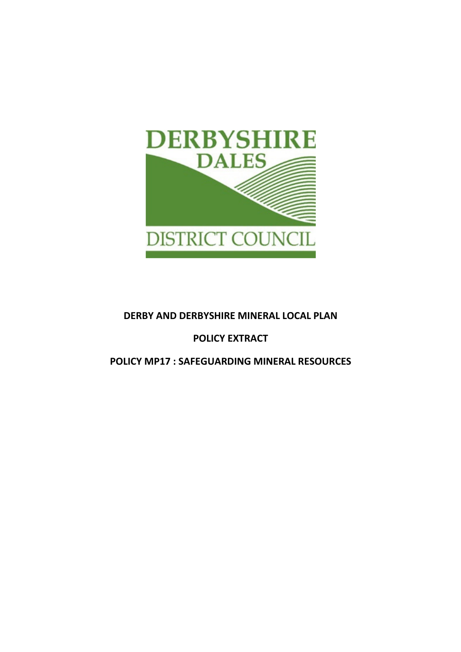

## DERBY AND DERBYSHIRE MINERAL LOCAL PLAN

## POLICY EXTRACT

POLICY MP17 : SAFEGUARDING MINERAL RESOURCES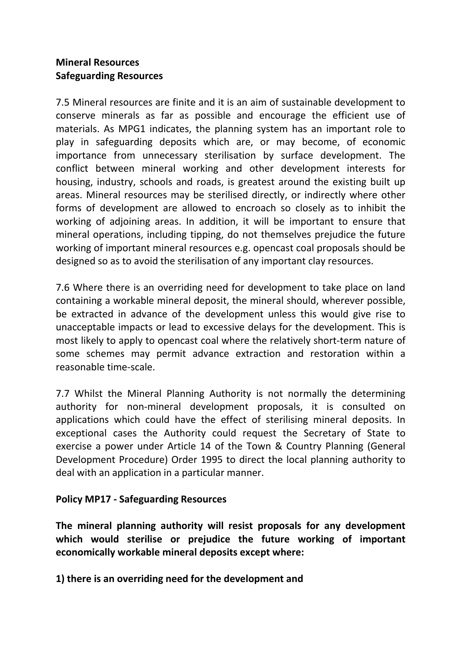## Mineral Resources Safeguarding Resources

7.5 Mineral resources are finite and it is an aim of sustainable development to conserve minerals as far as possible and encourage the efficient use of materials. As MPG1 indicates, the planning system has an important role to play in safeguarding deposits which are, or may become, of economic importance from unnecessary sterilisation by surface development. The conflict between mineral working and other development interests for housing, industry, schools and roads, is greatest around the existing built up areas. Mineral resources may be sterilised directly, or indirectly where other forms of development are allowed to encroach so closely as to inhibit the working of adjoining areas. In addition, it will be important to ensure that mineral operations, including tipping, do not themselves prejudice the future working of important mineral resources e.g. opencast coal proposals should be designed so as to avoid the sterilisation of any important clay resources.

7.6 Where there is an overriding need for development to take place on land containing a workable mineral deposit, the mineral should, wherever possible, be extracted in advance of the development unless this would give rise to unacceptable impacts or lead to excessive delays for the development. This is most likely to apply to opencast coal where the relatively short-term nature of some schemes may permit advance extraction and restoration within a reasonable time-scale.

7.7 Whilst the Mineral Planning Authority is not normally the determining authority for non-mineral development proposals, it is consulted on applications which could have the effect of sterilising mineral deposits. In exceptional cases the Authority could request the Secretary of State to exercise a power under Article 14 of the Town & Country Planning (General Development Procedure) Order 1995 to direct the local planning authority to deal with an application in a particular manner.

## Policy MP17 - Safeguarding Resources

The mineral planning authority will resist proposals for any development which would sterilise or prejudice the future working of important economically workable mineral deposits except where:

1) there is an overriding need for the development and